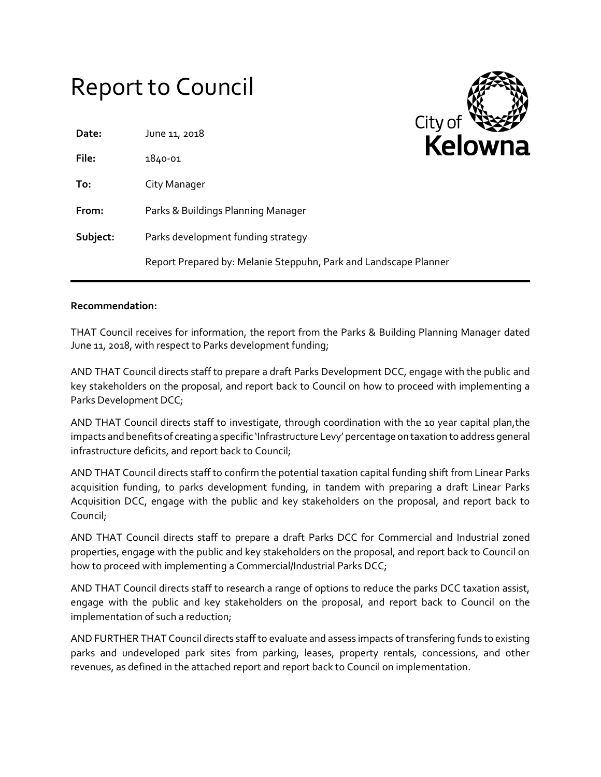# Report to Council



#### **Recommendation:**

THAT Council receives for information, the report from the Parks & Building Planning Manager dated June 11, 2018, with respect to Parks development funding;

AND THAT Council directs staff to prepare a draft Parks Development DCC, engage with the public and key stakeholders on the proposal, and report back to Council on how to proceed with implementing a Parks Development DCC;

AND THAT Council directs staff to investigate, through coordination with the 10 year capital plan,the impacts and benefits of creating a specific 'Infrastructure Levy' percentage on taxation to address general infrastructure deficits, and report back to Council;

AND THAT Council directs staff to confirm the potential taxation capital funding shift from Linear Parks acquisition funding, to parks development funding, in tandem with preparing a draft Linear Parks Acquisition DCC, engage with the public and key stakeholders on the proposal, and report back to Council;

AND THAT Council directs staff to prepare a draft Parks DCC for Commercial and Industrial zoned properties, engage with the public and key stakeholders on the proposal, and report back to Council on how to proceed with implementing a Commercial/Industrial Parks DCC;

AND THAT Council directs staff to research a range of options to reduce the parks DCC taxation assist, engage with the public and key stakeholders on the proposal, and report back to Council on the implementation of such a reduction;

AND FURTHER THAT Council directs staff to evaluate and assess impacts of transfering funds to existing parks and undeveloped park sites from parking, leases, property rentals, concessions, and other revenues, as defined in the attached report and report back to Council on implementation.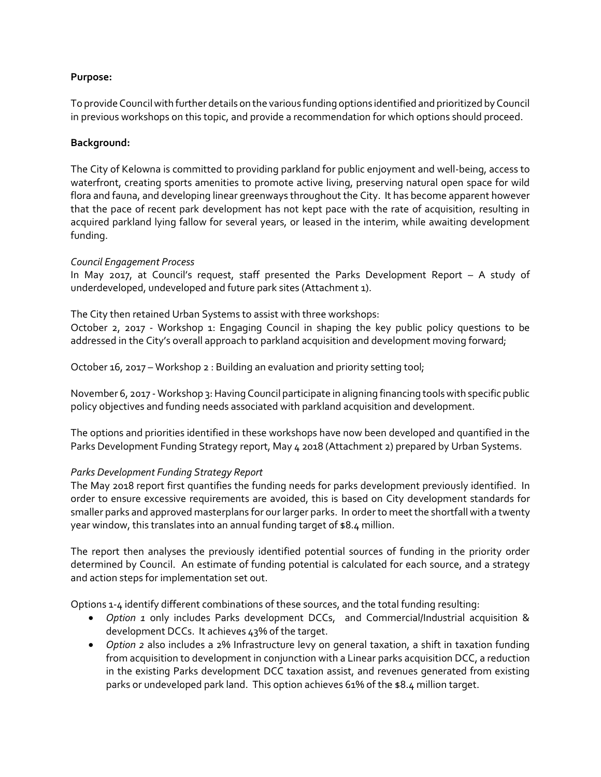## **Purpose:**

To provide Council with further details on the various funding options identified and prioritized by Council in previous workshops on this topic, and provide a recommendation for which options should proceed.

## **Background:**

The City of Kelowna is committed to providing parkland for public enjoyment and well-being, access to waterfront, creating sports amenities to promote active living, preserving natural open space for wild flora and fauna, and developing linear greenways throughout the City. It has become apparent however that the pace of recent park development has not kept pace with the rate of acquisition, resulting in acquired parkland lying fallow for several years, or leased in the interim, while awaiting development funding.

#### *Council Engagement Process*

In May 2017, at Council's request, staff presented the Parks Development Report – A study of underdeveloped, undeveloped and future park sites (Attachment 1).

The City then retained Urban Systems to assist with three workshops:

October 2, 2017 - Workshop 1: Engaging Council in shaping the key public policy questions to be addressed in the City's overall approach to parkland acquisition and development moving forward;

October 16, 2017 – Workshop 2 : Building an evaluation and priority setting tool;

November 6, 2017 - Workshop 3: Having Council participate in aligning financing tools with specific public policy objectives and funding needs associated with parkland acquisition and development.

The options and priorities identified in these workshops have now been developed and quantified in the Parks Development Funding Strategy report, May 4 2018 (Attachment 2) prepared by Urban Systems.

# *Parks Development Funding Strategy Report*

The May 2018 report first quantifies the funding needs for parks development previously identified. In order to ensure excessive requirements are avoided, this is based on City development standards for smaller parks and approved masterplans for our larger parks. In order to meet the shortfall with a twenty year window, this translates into an annual funding target of \$8.4 million.

The report then analyses the previously identified potential sources of funding in the priority order determined by Council. An estimate of funding potential is calculated for each source, and a strategy and action steps for implementation set out.

Options 1-4 identify different combinations of these sources, and the total funding resulting:

- *Option 1* only includes Parks development DCCs, and Commercial/Industrial acquisition & development DCCs. It achieves 43% of the target.
- *Option 2* also includes a 2% Infrastructure levy on general taxation, a shift in taxation funding from acquisition to development in conjunction with a Linear parks acquisition DCC, a reduction in the existing Parks development DCC taxation assist, and revenues generated from existing parks or undeveloped park land. This option achieves 61% of the \$8.4 million target.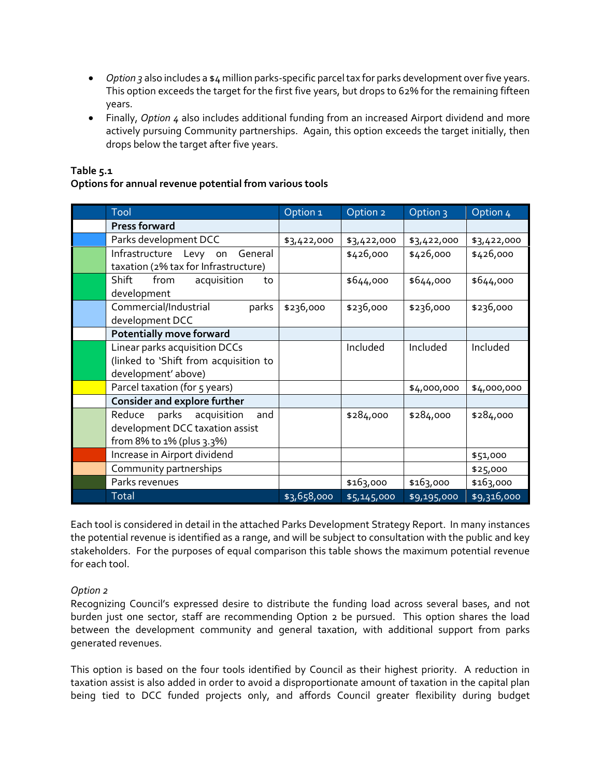- *Option 3* also includes a \$4 million parks-specific parcel tax for parks development over five years. This option exceeds the target for the first five years, but drops to 62% for the remaining fifteen years.
- Finally, *Option 4* also includes additional funding from an increased Airport dividend and more actively pursuing Community partnerships. Again, this option exceeds the target initially, then drops below the target after five years.

# **Table 5.1**

# **Options for annual revenue potential from various tools**

| Tool                                                                                               | Option <sub>1</sub> | Option 2    | Option <sub>3</sub> | Option 4    |
|----------------------------------------------------------------------------------------------------|---------------------|-------------|---------------------|-------------|
| <b>Press forward</b>                                                                               |                     |             |                     |             |
| Parks development DCC                                                                              | \$3,422,000         | \$3,422,000 | \$3,422,000         | \$3,422,000 |
| Infrastructure Levy on<br>General<br>taxation (2% tax for Infrastructure)                          |                     | \$426,000   | \$426,000           | \$426,000   |
| Shift<br>from<br>acquisition<br>to<br>development                                                  |                     | \$644,000   | \$644,000           | \$644,000   |
| Commercial/Industrial<br>parks<br>development DCC                                                  | \$236,000           | \$236,000   | \$236,000           | \$236,000   |
| <b>Potentially move forward</b>                                                                    |                     |             |                     |             |
| Linear parks acquisition DCCs<br>(linked to 'Shift from acquisition to<br>development' above)      |                     | Included    | Included            | Included    |
| Parcel taxation (for 5 years)                                                                      |                     |             | \$4,000,000         | \$4,000,000 |
| <b>Consider and explore further</b>                                                                |                     |             |                     |             |
| parks acquisition<br>Reduce<br>and<br>development DCC taxation assist<br>from 8% to 1% (plus 3.3%) |                     | \$284,000   | \$284,000           | \$284,000   |
| Increase in Airport dividend                                                                       |                     |             |                     | \$51,000    |
| Community partnerships                                                                             |                     |             |                     | \$25,000    |
| Parks revenues                                                                                     |                     | \$163,000   | \$163,000           | \$163,000   |
| Total                                                                                              | \$3,658,000         | \$5,145,000 | \$9,195,000         | \$9,316,000 |

Each tool is considered in detail in the attached Parks Development Strategy Report. In many instances the potential revenue is identified as a range, and will be subject to consultation with the public and key stakeholders. For the purposes of equal comparison this table shows the maximum potential revenue for each tool.

# *Option 2*

Recognizing Council's expressed desire to distribute the funding load across several bases, and not burden just one sector, staff are recommending Option 2 be pursued. This option shares the load between the development community and general taxation, with additional support from parks generated revenues.

This option is based on the four tools identified by Council as their highest priority. A reduction in taxation assist is also added in order to avoid a disproportionate amount of taxation in the capital plan being tied to DCC funded projects only, and affords Council greater flexibility during budget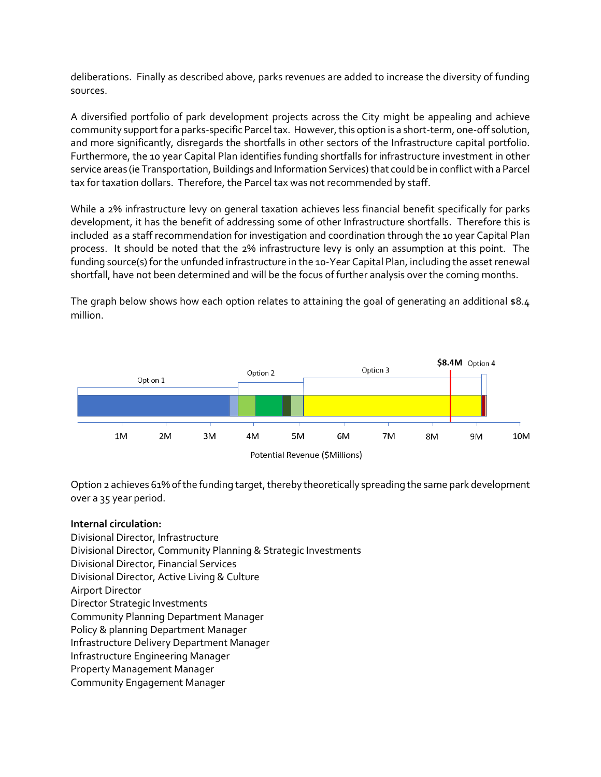deliberations. Finally as described above, parks revenues are added to increase the diversity of funding sources.

A diversified portfolio of park development projects across the City might be appealing and achieve community support for a parks-specific Parcel tax. However, this option is a short-term, one-off solution, and more significantly, disregards the shortfalls in other sectors of the Infrastructure capital portfolio. Furthermore, the 10 year Capital Plan identifies funding shortfalls for infrastructure investment in other service areas (ie Transportation, Buildings and Information Services) that could be in conflict with a Parcel tax for taxation dollars. Therefore, the Parcel tax was not recommended by staff.

While a 2% infrastructure levy on general taxation achieves less financial benefit specifically for parks development, it has the benefit of addressing some of other Infrastructure shortfalls. Therefore this is included as a staff recommendation for investigation and coordination through the 10 year Capital Plan process. It should be noted that the 2% infrastructure levy is only an assumption at this point. The funding source(s) for the unfunded infrastructure in the 10-Year Capital Plan, including the asset renewal shortfall, have not been determined and will be the focus of further analysis over the coming months.

The graph below shows how each option relates to attaining the goal of generating an additional  $$8.4$ million.



Option 2 achieves 61% of the funding target, thereby theoretically spreading the same park development over a 35 year period.

#### **Internal circulation:**

Divisional Director, Infrastructure Divisional Director, Community Planning & Strategic Investments Divisional Director, Financial Services Divisional Director, Active Living & Culture Airport Director Director Strategic Investments Community Planning Department Manager Policy & planning Department Manager Infrastructure Delivery Department Manager Infrastructure Engineering Manager Property Management Manager Community Engagement Manager